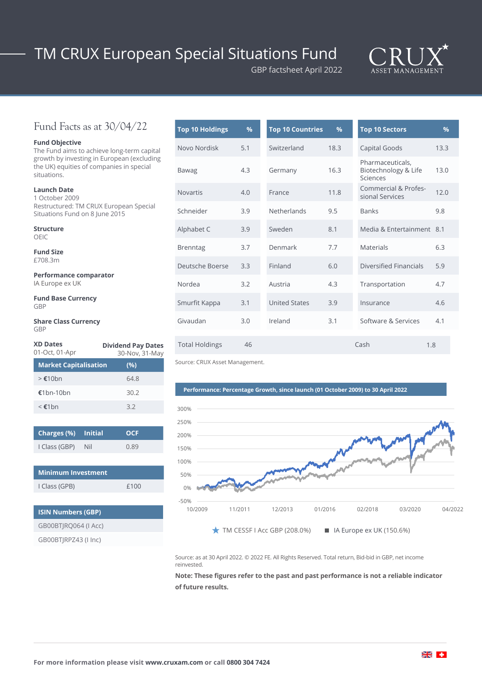# TM CRUX European Special Situations Fund



## Fund Facts as at 30/04/22

#### **Fund Objective**

The Fund aims to achieve long-term capital growth by investing in European (excluding the UK) equities of companies in special situations.

**Launch Date** 1 October 2009 Restructured: TM CRUX European Special Situations Fund on 8 June 2015

**Structure** OEIC

**Fund Size** £708.3m

**Performance comparator** IA Europe ex UK

**Fund Base Currency** GBP

#### **Share Class Currency** GBP

| <b>XD Dates</b><br>01-Oct, 01-Apr | <b>Dividend Pay Dates</b><br>30-Nov, 31-May |  |  |
|-----------------------------------|---------------------------------------------|--|--|
| <b>Market Capitalisation</b>      | (%)                                         |  |  |
| $\geq \epsilon 10$ hn             | 64.8                                        |  |  |
| $£1$ hn-10hn                      | 30.2                                        |  |  |
| $\leq$ £1 $hn$                    | 3.2                                         |  |  |

| Charges (%) Initial |     | <b>OCF</b> |
|---------------------|-----|------------|
| I Class (GBP)       | Nil | 0.89       |

| Minimum Investment |      |
|--------------------|------|
| I Class (GPB)      | f100 |
|                    |      |

### **ISIN Numbers (GBP)**

GB00BTJRQ064 (I Acc)

GB00BTJRPZ43 (I Inc)

| <b>Top 10 Holdings</b> | %   | <b>Top 10 Countries</b> | %    | <b>Top 10 Sectors</b>                                | $\frac{9}{6}$ |
|------------------------|-----|-------------------------|------|------------------------------------------------------|---------------|
| Novo Nordisk           | 5.1 | Switzerland             | 18.3 | Capital Goods                                        | 13.3          |
| Bawag                  | 4.3 | Germany                 | 16.3 | Pharmaceuticals,<br>Biotechnology & Life<br>Sciences | 13.0          |
| <b>Novartis</b>        | 4.0 | France                  | 11.8 | Commercial & Profes-<br>sional Services              | 12.0          |
| Schneider              | 3.9 | <b>Netherlands</b>      | 9.5  | <b>Banks</b>                                         | 9.8           |
| Alphabet C             | 3.9 | Sweden                  | 8.1  | Media & Entertainment 8.1                            |               |
| <b>Brenntag</b>        | 3.7 | Denmark                 | 7.7  | Materials                                            | 6.3           |
| Deutsche Boerse        | 3.3 | Finland                 | 6.0  | Diversified Financials                               | 5.9           |
| Nordea                 | 3.2 | Austria                 | 4.3  | Transportation                                       | 4.7           |
| Smurfit Kappa          | 3.1 | <b>United States</b>    | 3.9  | Insurance                                            | 4.6           |
| Givaudan               | 3.0 | Ireland                 | 3.1  | Software & Services                                  | 4.1           |
| <b>Total Holdings</b>  | 46  |                         |      | Cash                                                 | 1.8           |

GBP factsheet April 2022

Source: CRUX Asset Management.

### **Performance: Percentage Growth, since launch (01 October 2009) to 30 April 2022**



Source: as at 30 April 2022. © 2022 FE. All Rights Reserved. Total return, Bid-bid in GBP, net income reinvested.

**Note: These figures refer to the past and past performance is not a reliable indicator of future results.**